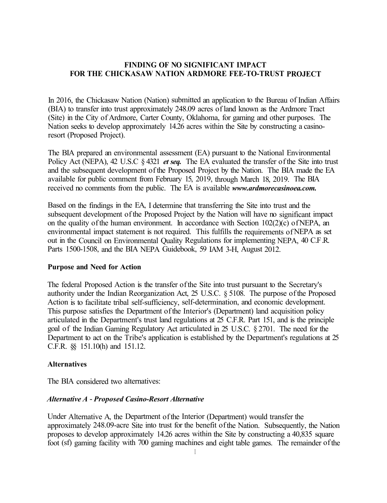## **FINDING OF NO SIGNIFICANT IMPACT FOR THE CHICKASAW NATION ARDMORE FEE-TO-TRUST PROJECT**

In 2016, the Chickasaw Nation (Nation) submitted an application to the Bureau of Indian Affairs (BIA) to transfer into trust approximately 248.09 acres of land known as the Ardmore Tract (Site) in the City of Ardmore, Carter County, Oklahoma, for gaming and other purposes. The Nation seeks to develop approximately 14.26 acres within the Site by constructing a casinoresort (Proposed Project).

The BIA prepared an environmental assessment (EA) pursuant to the National Environmental Policy Act (NEPA), 42 U.S.C § 4321 *et seq.* The EA evaluated the transfer of the Site into trust and the subsequent development of the Proposed Project by the Nation. The BIA made the EA available for public comment from February 15, 2019, through March 18, 2019. The BIA received no comments from the public. The EA is available *www.ardmorecasinoea.com.*

Based on the findings in the EA, I determine that transferring the Site into trust and the subsequent development of the Proposed Project by the Nation will have no significant impact on the quality of the human environment. In accordance with Section 102(2)(c) of NEPA, an environmental impact statement is not required. This fulfills the requirements of NEPA as set out in the Council on Environmental Quality Regulations for implementing NEPA, 40 C.F.R. Parts 1500-1508, and the BIA NEPA Guidebook, 59 IAM 3-H, August 2012.

### **Purpose and Need for Action**

The federal Proposed Action is the transfer of the Site into trust pursuant to the Secretary's authority under the Indian Reorganization Act, 25 U.S.C. § 5108. The purpose of the Proposed Action is to facilitate tribal self-sufficiency, self-determination, and economic development. This purpose satisfies the Department of the Interior's (Department) land acquisition policy articulated in the Department's trust land regulations at 25 C.F.R. Part 151, and is the principle goal of the Indian Gaming Regulatory Act articulated in 25 U.S.C. § 2701. The need for the Department to act on the Tribe's application is established by the Department's regulations at 25 C.F.R. §§ 151.10(h) and 151.12.

#### **Alternatives**

The BIA considered two alternatives:

### *Alternative A* - *Proposed Casino-Resort Alternative*

Under Alternative A, the Department of the Interior (Department) would transfer the approximately 248.09-acre Site into trust for the benefit of the Nation. Subsequently, the Nation proposes to develop approximately 14.26 acres within the Site by constructing a 40,835 square foot (sf) gaming facility with 700 gaming machines and eight table games. The remainder of the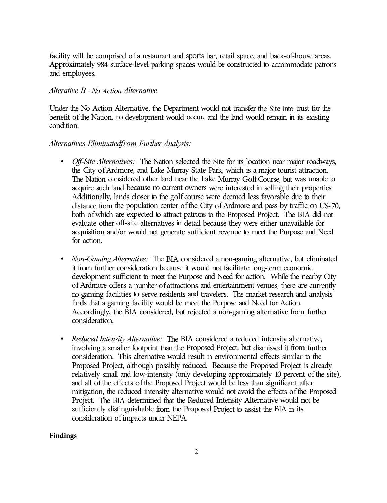facility will be comprised of a restaurant and sports bar, retail space, and back-of-house areas. Approximately 984 surface-level parking spaces would be constructed to accommodate patrons and employees.

## *Alterative B* -*No Action Alternative*

Under the No Action Alternative, the Department would not transfer the Site into trust for the benefit of the Nation, no development would occur, and the land would remain in its existing condition.

### Alternatives Eliminated from Further Analysis:

- *Off-Site Alternatives:* The Nation selected the Site for its location near major roadways, the City of Ardmore, and Lake Murray State Park, which is a major tourist attraction. The Nation considered other land near the Lake Murray Golf Course, but was unable to acquire such land because no current owners were interested in selling their properties. Additionally, lands closer to the golf course were deemed less favorable due to their distance from the population center of the City of Ardmore and pass-by traffic on US-70, both of which are expected to attract patrons to the Proposed Project. The BIA did not evaluate other off-site alternatives in detail because they were either unavailable for acquisition and/or would not generate sufficient revenue to meet the Purpose and Need for action.
- *Non-Gaming Alternative:* The BIA considered a non-gaming alternative, but eliminated it from further consideration because it would not facilitate long-term economic development sufficient to meet the Purpose and Need for action. While the nearby City of Ardmore offers a number of attractions and entertainment venues, there are currently no gaming facilities to serve residents and travelers. The market research and analysis finds that a gaming facility would be meet the Purpose and Need for Action. Accordingly, the BIA considered, but rejected a non-gaming alternative from further consideration.
- *Reduced Intensity Alternative:* The BIA considered a reduced intensity alternative, involving a smaller footprint than the Proposed Project, but dismissed it from further consideration. This alternative would result in environmental effects similar to the Proposed Project, although possibly reduced. Because the Proposed Project is already relatively small and low-intensity (only developing approximately 10 percent of the site), and all of the effects of the Proposed Project would be less than significant after mitigation, the reduced intensity alternative would not avoid the effects of the Proposed Project. The BIA determined that the Reduced Intensity Alternative would not be sufficiently distinguishable from the Proposed Project to assist the BIA in its consideration of impacts under NEPA.

### **Findings**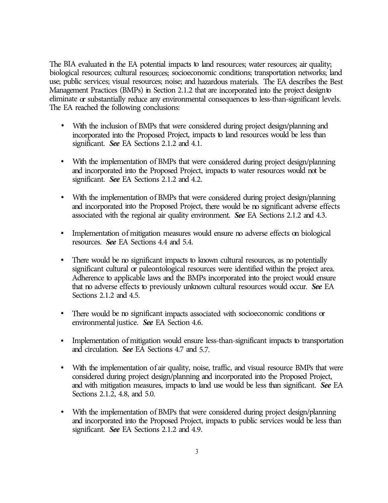The BIA evaluated in the EA potential impacts to land resources; water resources; air quality; biological resources; cultural resources; socioeconomic conditions; transportation networks; land use; public services; visual resources; noise; and hazardous materials. The EA describes the Best Management Practices (BMPs) in Section 2.1.2 that are incorporated into the project design to eliminate or substantially reduce any environmental consequences to less-than-significant levels. The EA reached the following conclusions:

- With the inclusion of BMPs that were considered during project design/planning and incorporated into the Proposed Project, impacts to land resources would be less than significant. *See* EA Sections 2.1.2 and 4.1.
- With the implementation of BMPs that were considered during project design/planning and incorporated into the Proposed Project, impacts to water resources would not be significant. *See* EA Sections 2.1.2 and 4.2.
- With the implementation of BMPs that were considered during project design/planning and incorporated into the Proposed Project, there would be no significant adverse effects associated with the regional air quality environment. *See* EA Sections 2.1.2 and 4.3.
- Implementation of mitigation measures would ensure m adverse effects on biological resources. *See* EA Sections 4.4 and 5.4.
- There would be no significant impacts to known cultural resources, as no potentially significant cultural or paleontological resources were identified within the project area. Adherence to applicable laws and the BMPs incorporated into the project would ensure that no adverse effects to previously unknown cultural resources would occur. *See* EA Sections 2.1.2 and 4.5.
- There would be no significant impacts associated with socioeconomic conditions or environmental justice. *See* EA Section 4.6.
- Implementation of mitigation would ensure less-than-significant impacts to transportation and circulation. *See* EA Sections 4.7 and 5.7.
- With the implementation of air quality, noise, traffic, and visual resource BMPs that were considered during project design/planning and incorporated into the Proposed Project, and with mitigation measures, impacts to land use would be less than significant. *See* EA Sections 2.1.2, 4.8, and 5.0.
- With the implementation of BMPs that were considered during project design/planning and incorporated into the Proposed Project, impacts to public services would be less than significant. *See* EA Sections 2.1.2 and 4.9.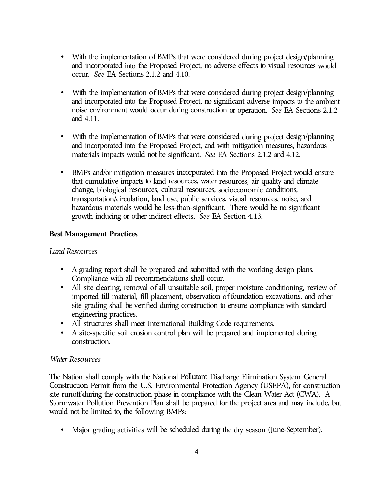- With the implementation of BMPs that were considered during project design/planning and incorporated into the Proposed Project, no adverse effects to visual resources would occur. *See* EA Sections 2.1.2 and 4.10.
- With the implementation of BMPs that were considered during project design/planning and incorporated into the Proposed Project, no significant adverse impacts to the ambient noise environment would occur during construction or operation. *See* EA Sections 2.1.2 and 4.11.
- With the implementation of BMPs that were considered during project design/planning and incorporated into the Proposed Project, and with mitigation measures, hazardous materials impacts would not be significant. *See* EA Sections 2.1.2 and 4.12.
- BMPs and/or mitigation measures incorporated into the Proposed Project would ensure that cumulative impacts to land resources, water resources, air quality and climate change, biological resources, cultural resources, socioeconomic conditions, transportation/circulation, land use, public services, visual resources, noise, and hazardous materials would be less-than-significant. There would be no significant growth inducing or other indirect effects. *See* EA Section 4.13.

# **Best Management Practices**

# *Land Resources*

- A grading report shall be prepared and submitted with the working design plans. Compliance with all recommendations shall occur.
- All site clearing, removal of all unsuitable soil, proper moisture conditioning, review of imported fill material, fill placement, observation of foundation excavations, and other site grading shall be verified during construction to ensure compliance with standard engineering practices.
- All structures shall meet International Building Code requirements.
- A site-specific soil erosion control plan will be prepared and implemented during construction.

# *Water Resources*

The Nation shall comply with the National Pollutant Discharge Elimination System General Construction Permit from the U.S. Environmental Protection Agency (USEPA), for construction site runoff during the construction phase in compliance with the Clean Water Act (CWA). A Stormwater Pollution Prevention Plan shall be prepared for the project area and may include, but would not be limited to, the following BMPs:

• Major grading activities will be scheduled during the dry season (June-September).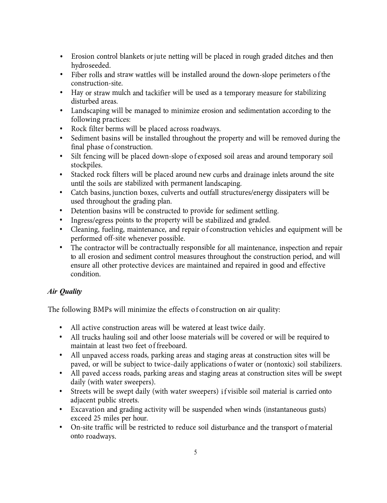- Erosion control blankets or jute netting will be placed in rough graded ditches and then hydro seeded.
- Fiber rolls and straw wattles will be installed around the down-slope perimeters of the construction-site.
- Hay or straw mulch and tackifier will be used as a temporary measure for stabilizing disturbed areas.
- Landscaping will be managed to minimize erosion and sedimentation according to the following practices:
- Rock filter berms will be placed across roadways.
- Sediment basins will be installed throughout the property and will be removed during the final phase of construction.
- Silt fencing will be placed down-slope of exposed soil areas and around temporary soil stockpiles.
- Stacked rock filters will be placed around new curbs and drainage inlets around the site until the soils are stabilized with permanent landscaping.
- Catch basins, junction boxes, culverts and outfall structures/energy dissipaters will be used throughout the grading plan.
- Detention basins will be constructed to provide for sediment settling.
- Ingress/egress points to the property will be stabilized and graded.
- Cleaning, fueling, maintenance, and repair of construction vehicles and equipment will be performed off-site whenever possible.
- The contractor will be contractually responsible for all maintenance, inspection and repair to all erosion and sediment control measures throughout the construction period, and will ensure all other protective devices are maintained and repaired in good and effective condition.

# *Air Quality*

The following BMPs will minimize the effects of construction on air quality:

- All active construction areas will be watered at least twice daily.
- All trucks hauling soil and other loose materials will be covered or will be required to maintain at least two feet of freeboard.
- All unpaved access roads, parking areas and staging areas at construction sites will be paved, or will be subject to twice-daily applications of water or (nontoxic) soil stabilizers.
- All paved access roads, parking areas and staging areas at construction sites will be swept daily (with water sweepers).
- Streets will be swept daily (with water sweepers) if visible soil material is carried onto adjacent public streets.
- Excavation and grading activity will be suspended when winds (instantaneous gusts) exceed 25 miles per hour.
- On-site traffic will be restricted to reduce soil disturbance and the transport of material onto roadways.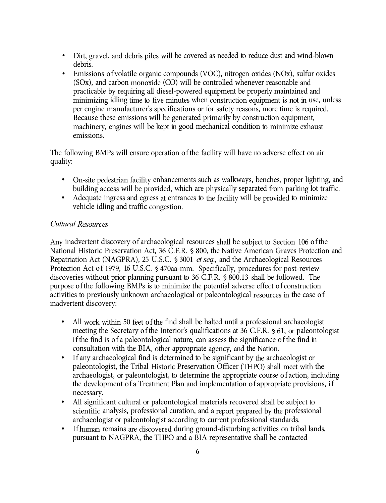- Dirt, gravel, and debris piles will be covered as needed to reduce dust and wind-blown debris.
- Emissions of volatile organic compounds (VOC), nitrogen oxides (NOx), sulfur oxides (SOx), and carbon monoxide (CO) will be controlled whenever reasonable and practicable by requiring all diesel-powered equipment be properly maintained and minimizing idling time to five minutes when construction equipment is not in use, unless per engine manufacturer's specifications or for safety reasons, more time is required. Because these emissions will be generated primarily by construction equipment, machinery, engines will be kept in good mechanical condition to minimize exhaust emissions.

The following BMPs will ensure operation of the facility will have no adverse effect on air quality:

- On-site pedestrian facility enhancements such as walkways, benches, proper lighting, and building access will be provided, which are physically separated from parking lot traffic.
- Adequate ingress and egress at entrances to the facility will be provided to minimize vehicle idling and traffic congestion.

# *Cultural Resources*

Any inadvertent discovery of archaeological resources shall be subject to Section 106 of the National Historic Preservation Act, 36 C.F.R. § 800, the Native American Graves Protection and Repatriation Act (NAGPRA), 25 U.S.C. § 3001 *et seq.,* and the Archaeological Resources Protection Act of 1979, 16 U.S.C. § 470aa-mm. Specifically, procedures for post-review discoveries without prior planning pursuant to 36 C.F.R. § 800.13 shall be followed. The purpose of the following BMPs is to minimize the potential adverse effect of construction activities to previously unknown archaeological or paleontological resources in the case of inadvertent discovery:

- All work within 50 feet of the find shall be halted until a professional archaeologist meeting the Secretary of the Interior's qualifications at 36 C.F.R. § 61, or paleontologist if the find is of a paleontological nature, can assess the significance of the find in consultation with the BIA, other appropriate agency, and the Nation.
- If any archaeological find is determined to be significant by the archaeologist or paleontologist, the Tribal Historic Preservation Officer (THPO) shall meet with the archaeologist, or paleontologist, to determine the appropriate course of action, including the development of a Treatment Plan and implementation of appropriate provisions, if necessary.
- All significant cultural or paleontological materials recovered shall be subject to scientific analysis, professional curation, and a report prepared by the professional archaeologist or paleontologist according to current professional standards.
- If human remains are discovered during ground-disturbing activities on tribal lands, pursuant to NAGPRA, the THPO and a BIA representative shall be contacted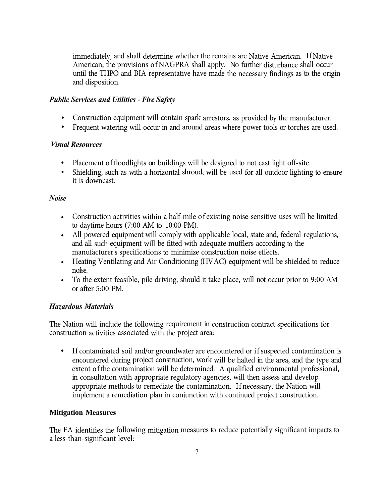immediately, and shall determine whether the remains are Native American. If Native American, the provisions of NAGPRA shall apply. No further disturbance shall occur until the THPO and BIA representative have made the necessary findings as to the origin and disposition.

## *Public Services and Utilities* -*Fire Safety*

- Construction equipment will contain spark arrestors, as provided by the manufacturer.
- Frequent watering will occur in and around areas where power tools or torches are used.

## *Visual Resources*

- Placement of floodlights on buildings will be designed to not cast light off-site.
- Shielding, such as with a horizontal shroud, will be used for all outdoor lighting to ensure it is downcast.

## *Noise*

- Construction activities within a half-mile of existing noise-sensitive uses will be limited to daytime hours (7:00 AM to 10:00 PM).
- All powered equipment will comply with applicable local, state and, federal regulations, and all such equipment will be fitted with adequate mufflers according to the manufacturer's specifications to minimize construction noise effects.
- Heating Ventilating and Air Conditioning (HVAC) equipment will be shielded to reduce noise.
- To the extent feasible, pile driving, should it take place, will not occur prior to 9:00 AM or after 5:00 PM.

# *Hazardous Materials*

The Nation will include the following requirement in construction contract specifications for construction activities associated with the project area:

If contaminated soil and/or groundwater are encountered or if suspected contamination is encountered during project construction, work will be halted in the area, and the type and extent of the contamination will be determined. A qualified environmental professional, in consultation with appropriate regulatory agencies, will then assess and develop appropriate methods to remediate the contamination. If necessary, the Nation will implement a remediation plan in conjunction with continued project construction.

# **Mitigation Measures**

The EA identifies the following mitigation measures to reduce potentially significant impacts to a less-than-significant level: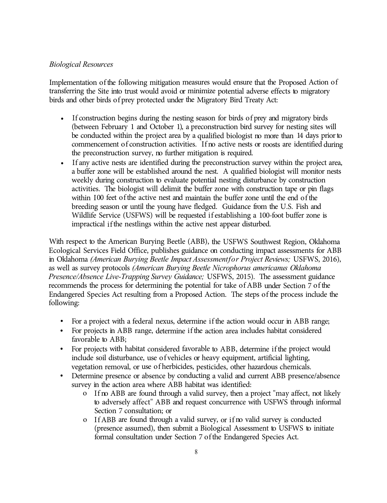## *Biological Resources*

Implementation of the following mitigation measures would ensure that the Proposed Action of transferring the Site into trust would avoid or minimize potential adverse effects to migratory birds and other birds of prey protected under the Migratory Bird Treaty Act:

- If construction begins during the nesting season for birds of prey and migratory birds (between February 1 and October 1), a preconstruction bird survey for nesting sites will be conducted within the project area by a qualified biologist no more than 14 days prior to commencement of construction activities. If no active nests or roosts are identified during the preconstruction survey, no further mitigation is required.
- If any active nests are identified during the preconstruction survey within the project area, a buffer zone will be established around the nest. A qualified biologist will monitor nests weekly during construction to evaluate potential nesting disturbance by construction activities. The biologist will delimit the buffer zone with construction tape or pin flags within 100 feet of the active nest and maintain the buffer zone until the end of the breeding season or until the young have fledged. Guidance from the U.S. Fish and Wildlife Service (USFWS) will be requested if establishing a 100-foot buffer zone is impractical if the nestlings within the active nest appear disturbed.

With respect to the American Burying Beetle (ABB), the USFWS Southwest Region, Oklahoma Ecological Services Field Office, publishes guidance on conducting impact assessments for ABB in Oklahoma *(American Burying Beetle Impact Assessment for Project Reviews;* USFWS, 2016), as well as survey protocols *(American Burying Beetle Nicrophorus americanus Oklahoma Presence/Absence Live-Trapping Survey Guidance;* USFWS, 2015). The assessment guidance recommends the process for determining the potential for take of ABB under Section 7 of the Endangered Species Act resulting from a Proposed Action. The steps of the process include the following:

- For a project with a federal nexus, determine if the action would occur in ABB range;
- For projects in ABB range, determine if the action area includes habitat considered favorable to ABB;
- For projects with habitat considered favorable to ABB, determine if the project would include soil disturbance, use of vehicles or heavy equipment, artificial lighting, vegetation removal, or use of herbicides, pesticides, other hazardous chemicals.
- Determine presence or absence by conducting a valid and current ABB presence/absence survey in the action area where ABB habitat was identified:
	- o If no ABB are found through a valid survey, then a project "may affect, not likely to adversely affect" ABB and request concurrence with USFWS through informal Section 7 consultation; or
	- o If ABB are found through a valid survey, or if no valid survey is conducted (presence assumed), then submit a Biological Assessment to USFWS to initiate formal consultation under Section 7 of the Endangered Species Act.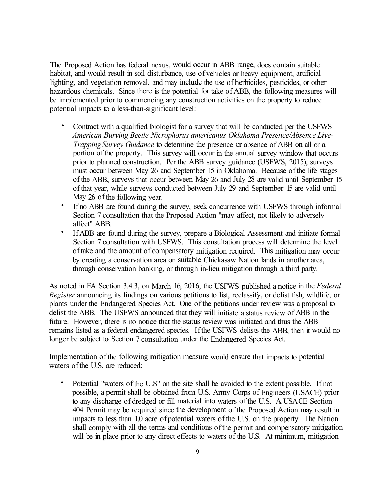The Proposed Action has federal nexus, would occur in ABB range, does contain suitable habitat, and would result in soil disturbance, use of vehicles or heavy equipment, artificial lighting, and vegetation removal, and may include the use of herbicides, pesticides, or other hazardous chemicals. Since there is the potential for take of ABB, the following measures will be implemented prior to commencing any construction activities on the property to reduce potential impacts to a less-than-significant level:

- Contract with a qualified biologist for a survey that will be conducted per the USFWS *American Burying Beetle Nicrophorus americanus Oklahoma Presence/Absence Live-Trapping Survey Guidance* to determine the presence or absence of ABB on all or a portion of the property. This survey will occur in the annual survey window that occurs prior to planned construction. Per the ABB survey guidance (USFWS, 2015), surveys must occur between May 26 and September 15 in Oklahoma. Because of the life stages of the ABB, surveys that occur between May 26 and July 28 are valid until September 15 of that year, while surveys conducted between July 29 and September 15 are valid until May 26 of the following year.
- If no ABB are found during the survey, seek concurrence with USFWS through informal Section 7 consultation that the Proposed Action "may affect, not likely to adversely affect" ABB.
- If ABB are found during the survey, prepare a Biological Assessment and initiate formal Section 7 consultation with USFWS. This consultation process will determine the level of take and the amount of compensatory mitigation required. This mitigation may occur by creating a conservation area on suitable Chickasaw Nation lands in another area, through conservation banking, or through in-lieu mitigation through a third party.

As noted in EA Section 3.4.3, on March 16, 2016, the USFWS published a notice in the *Federal Register* announcing its findings on various petitions to list, reclassify, or delist fish, wildlife, or plants under the Endangered Species Act. One of the petitions under review was a proposal to delist the ABB. The USFWS announced that they will initiate a status review of ABB in the future. However, there is no notice that the status review was initiated and thus the ABB remains listed as a federal endangered species. If the USFWS delists the ABB, then it would no longer be subject to Section 7 consultation under the Endangered Species Act.

Implementation of the following mitigation measure would ensure that impacts to potential waters of the U.S. are reduced:

• Potential "waters of the U.S" on the site shall be avoided to the extent possible. If not possible, a permit shall be obtained from U.S. Army Corps of Engineers (USACE) prior to any discharge of dredged or fill material into waters of the U.S. A USA CE Section 404 Permit may be required since the development of the Proposed Action may result in impacts to less than 1.0 acre of potential waters of the U.S. on the property. The Nation shall comply with all the terms and conditions of the permit and compensatory mitigation will be in place prior to any direct effects to waters of the U.S. At minimum, mitigation